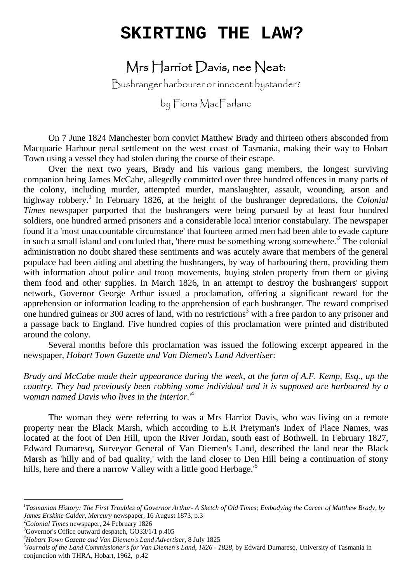## **SKIRTING THE LAW?**

## Mrs Harriot Davis, nee Neat:

Bushranger harbourer or innocent bystander?

by Fiona MacFarlane

 On 7 June 1824 Manchester born convict Matthew Brady and thirteen others absconded from Macquarie Harbour penal settlement on the west coast of Tasmania, making their way to Hobart Town using a vessel they had stolen during the course of their escape.

 Over the next two years, Brady and his various gang members, the longest surviving companion being James McCabe, allegedly committed over three hundred offences in many parts of the colony, including murder, attempted murder, manslaughter, assault, wounding, arson and highway robbery.<sup>1</sup> In February 1826, at the height of the bushranger depredations, the *Colonial Times* newspaper purported that the bushrangers were being pursued by at least four hundred soldiers, one hundred armed prisoners and a considerable local interior constabulary. The newspaper found it a 'most unaccountable circumstance' that fourteen armed men had been able to evade capture in such a small island and concluded that, 'there must be something wrong somewhere.<sup> $2$ </sup> The colonial administration no doubt shared these sentiments and was acutely aware that members of the general populace had been aiding and abetting the bushrangers, by way of harbouring them, providing them with information about police and troop movements, buying stolen property from them or giving them food and other supplies. In March 1826, in an attempt to destroy the bushrangers' support network, Governor George Arthur issued a proclamation, offering a significant reward for the apprehension or information leading to the apprehension of each bushranger. The reward comprised one hundred guineas or 300 acres of land, with no restrictions<sup>3</sup> with a free pardon to any prisoner and a passage back to England. Five hundred copies of this proclamation were printed and distributed around the colony.

 Several months before this proclamation was issued the following excerpt appeared in the newspaper, *Hobart Town Gazette and Van Diemen's Land Advertiser*:

*Brady and McCabe made their appearance during the week, at the farm of A.F. Kemp, Esq., up the country. They had previously been robbing some individual and it is supposed are harboured by a woman named Davis who lives in the interior.*' 4

 The woman they were referring to was a Mrs Harriot Davis, who was living on a remote property near the Black Marsh, which according to E.R Pretyman's Index of Place Names, was located at the foot of Den Hill, upon the River Jordan, south east of Bothwell. In February 1827, Edward Dumaresq, Surveyor General of Van Diemen's Land, described the land near the Black Marsh as 'hilly and of bad quality,' with the land closer to Den Hill being a continuation of stony hills, here and there a narrow Valley with a little good Herbage.<sup>5</sup>

<sup>2</sup>Colonial Times newspaper, 24 February 1826<br><sup>3</sup>Governor's Office outward departed GO22/1/

*<sup>1</sup> Tasmanian History: The First Troubles of Governor Arthur- A Sketch of Old Times; Embodying the Career of Matthew Brady, by James Erskine Calder, Mercury* newspaper, 16 August 1873, p.3<br><sup>2</sup>Colonial Times powenoper, 24 Eebruary 1926

<sup>&</sup>lt;sup>3</sup>Governor's Office outward despatch, GO33/1/1 p.405

<sup>&</sup>lt;sup>4</sup> Hobart Town Gazette and Van Diemen's Land Advertiser, 8 July 1825<br><sup>5</sup> Journals of the Land Commissionaris for Van Diemen's Land, 1826

*Journals of the Land Commissioner's for Van Diemen's Land*, *1826* - *1828*, by Edward Dumaresq, University of Tasmania in conjunction with THRA, Hobart, 1962, p.42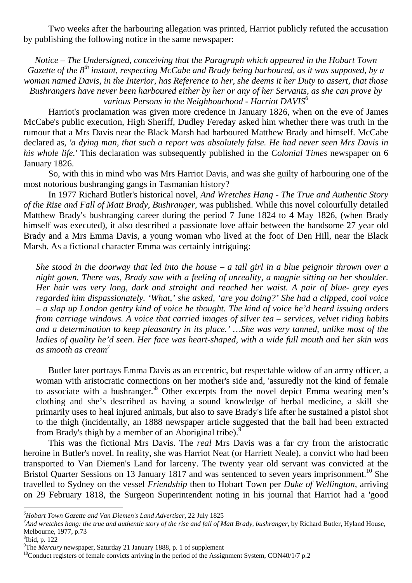Two weeks after the harbouring allegation was printed, Harriot publicly refuted the accusation by publishing the following notice in the same newspaper:

*Notice – The Undersigned, conceiving that the Paragraph which appeared in the Hobart Town Gazette of the 8th instant, respecting McCabe and Brady being harboured, as it was supposed, by a woman named Davis, in the Interior, has Reference to her, she deems it her Duty to assert, that those Bushrangers have never been harboured either by her or any of her Servants, as she can prove by*  various Persons in the Neighbourhood - Harriot DAVIS<sup>6</sup>

 Harriot's proclamation was given more credence in January 1826, when on the eve of James McCabe's public execution, High Sheriff, Dudley Fereday asked him whether there was truth in the rumour that a Mrs Davis near the Black Marsh had harboured Matthew Brady and himself. McCabe declared as, *'a dying man, that such a report was absolutely false. He had never seen Mrs Davis in his whole life.'* This declaration was subsequently published in the *Colonial Times* newspaper on 6 January 1826.

 So, with this in mind who was Mrs Harriot Davis, and was she guilty of harbouring one of the most notorious bushranging gangs in Tasmanian history?

 In 1977 Richard Butler's historical novel, *And Wretches Hang - The True and Authentic Story of the Rise and Fall of Matt Brady, Bushranger*, was published. While this novel colourfully detailed Matthew Brady's bushranging career during the period 7 June 1824 to 4 May 1826, (when Brady himself was executed), it also described a passionate love affair between the handsome 27 year old Brady and a Mrs Emma Davis, a young woman who lived at the foot of Den Hill, near the Black Marsh. As a fictional character Emma was certainly intriguing:

*She stood in the doorway that led into the house – a tall girl in a blue peignoir thrown over a night gown. There was, Brady saw with a feeling of unreality, a magpie sitting on her shoulder. Her hair was very long, dark and straight and reached her waist. A pair of blue- grey eyes regarded him dispassionately. 'What,' she asked, 'are you doing?' She had a clipped, cool voice – a slap up London gentry kind of voice he thought. The kind of voice he'd heard issuing orders from carriage windows. A voice that carried images of silver tea – services, velvet riding habits and a determination to keep pleasantry in its place.' …She was very tanned, unlike most of the ladies of quality he'd seen. Her face was heart-shaped, with a wide full mouth and her skin was as smooth as cream<sup>7</sup>*

 Butler later portrays Emma Davis as an eccentric, but respectable widow of an army officer, a woman with aristocratic connections on her mother's side and, 'assuredly not the kind of female to associate with a bushranger.<sup>8</sup> Other excerpts from the novel depict Emma wearing men's clothing and she's described as having a sound knowledge of herbal medicine, a skill she primarily uses to heal injured animals, but also to save Brady's life after he sustained a pistol shot to the thigh (incidentally, an 1888 newspaper article suggested that the ball had been extracted from Brady's thigh by a member of an Aboriginal tribe).<sup>9</sup>

 This was the fictional Mrs Davis. The *real* Mrs Davis was a far cry from the aristocratic heroine in Butler's novel. In reality, she was Harriot Neat (or Harriett Neale), a convict who had been transported to Van Diemen's Land for larceny. The twenty year old servant was convicted at the Bristol Quarter Sessions on 13 January 1817 and was sentenced to seven years imprisonment.<sup>10</sup> She travelled to Sydney on the vessel *Friendship* then to Hobart Town per *Duke of Wellington,* arriving on 29 February 1818, the Surgeon Superintendent noting in his journal that Harriot had a 'good

*<sup>6</sup> Hobart Town Gazette and Van Diemen's Land Advertiser,* <sup>22</sup> July <sup>1825</sup> *<sup>7</sup>*

<sup>&</sup>lt;sup>7</sup>And wretches hang: the true and authentic story of the rise and fall of Matt Brady, bushranger, by Richard Butler, Hyland House, Melbourne, 1977*,* p.73 <sup>8</sup>

 ${}^{8}$ Ibid, p. 122

<sup>&</sup>lt;sup>9</sup>The Mercury newspaper, Saturday 21 January 1888, p. 1 of supplement

<sup>&</sup>lt;sup>10</sup>Conduct registers of female convicts arriving in the period of the Assignment System, CON40/1/7 p.2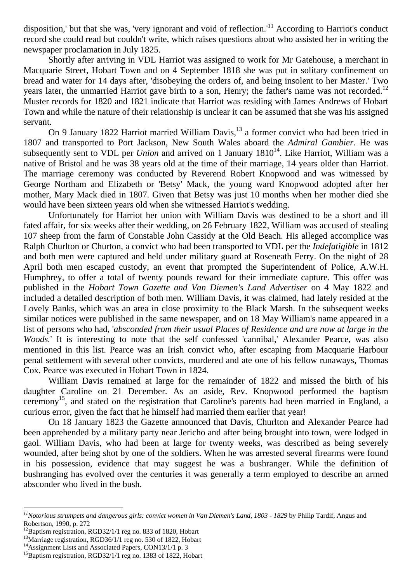disposition,' but that she was, 'very ignorant and void of reflection.'<sup>11</sup> According to Harriot's conduct record she could read but couldn't write, which raises questions about who assisted her in writing the newspaper proclamation in July 1825.

 Shortly after arriving in VDL Harriot was assigned to work for Mr Gatehouse, a merchant in Macquarie Street, Hobart Town and on 4 September 1818 she was put in solitary confinement on bread and water for 14 days after, 'disobeying the orders of, and being insolent to her Master.' Two years later, the unmarried Harriot gave birth to a son, Henry; the father's name was not recorded.<sup>12</sup> Muster records for 1820 and 1821 indicate that Harriot was residing with James Andrews of Hobart Town and while the nature of their relationship is unclear it can be assumed that she was his assigned servant.

On 9 January 1822 Harriot married William Davis,<sup>13</sup> a former convict who had been tried in 1807 and transported to Port Jackson, New South Wales aboard the *Admiral Gambier*. He was subsequently sent to VDL per *Union* and arrived on 1 January  $1810<sup>14</sup>$ . Like Harriot, William was a native of Bristol and he was 38 years old at the time of their marriage, 14 years older than Harriot. The marriage ceremony was conducted by Reverend Robert Knopwood and was witnessed by George Northam and Elizabeth or 'Betsy' Mack, the young ward Knopwood adopted after her mother, Mary Mack died in 1807. Given that Betsy was just 10 months when her mother died she would have been sixteen years old when she witnessed Harriot's wedding.

 Unfortunately for Harriot her union with William Davis was destined to be a short and ill fated affair, for six weeks after their wedding, on 26 February 1822, William was accused of stealing 107 sheep from the farm of Constable John Cassidy at the Old Beach. His alleged accomplice was Ralph Churlton or Churton, a convict who had been transported to VDL per the *Indefatigible* in 1812 and both men were captured and held under military guard at Roseneath Ferry. On the night of 28 April both men escaped custody, an event that prompted the Superintendent of Police, A.W.H. Humphrey, to offer a total of twenty pounds reward for their immediate capture. This offer was published in the *Hobart Town Gazette and Van Diemen's Land Advertiser* on 4 May 1822 and included a detailed description of both men. William Davis, it was claimed, had lately resided at the Lovely Banks, which was an area in close proximity to the Black Marsh. In the subsequent weeks similar notices were published in the same newspaper, and on 18 May William's name appeared in a list of persons who had, '*absconded from their usual Places of Residence and are now at large in the Woods*.' It is interesting to note that the self confessed 'cannibal,' Alexander Pearce, was also mentioned in this list. Pearce was an Irish convict who, after escaping from Macquarie Harbour penal settlement with several other convicts, murdered and ate one of his fellow runaways, Thomas Cox. Pearce was executed in Hobart Town in 1824.

 William Davis remained at large for the remainder of 1822 and missed the birth of his daughter Caroline on 21 December. As an aside, Rev. Knopwood performed the baptism ceremony<sup>15</sup>, and stated on the registration that Caroline's parents had been married in England, a curious error, given the fact that he himself had married them earlier that year!

 On 18 January 1823 the Gazette announced that Davis, Churlton and Alexander Pearce had been apprehended by a military party near Jericho and after being brought into town, were lodged in gaol. William Davis, who had been at large for twenty weeks, was described as being severely wounded, after being shot by one of the soldiers. When he was arrested several firearms were found in his possession, evidence that may suggest he was a bushranger. While the definition of bushranging has evolved over the centuries it was generally a term employed to describe an armed absconder who lived in the bush.

*<sup>11</sup>Notorious strumpets and dangerous girls: convict women in Van Diemen's Land, 1803 - 1829* by Philip Tardif*,* Angus and Robertson, 1990, p. 272

 $12$ Baptism registration, RGD32/1/1 reg no. 833 of 1820, Hobart

<sup>&</sup>lt;sup>13</sup>Marriage registration, RGD36/1/1 reg no. 530 of 1822, Hobart

<sup>&</sup>lt;sup>14</sup>Assignment Lists and Associated Papers, CON13/1/1 p. 3

<sup>&</sup>lt;sup>15</sup>Baptism registration, RGD32/1/1 reg no. 1383 of 1822, Hobart